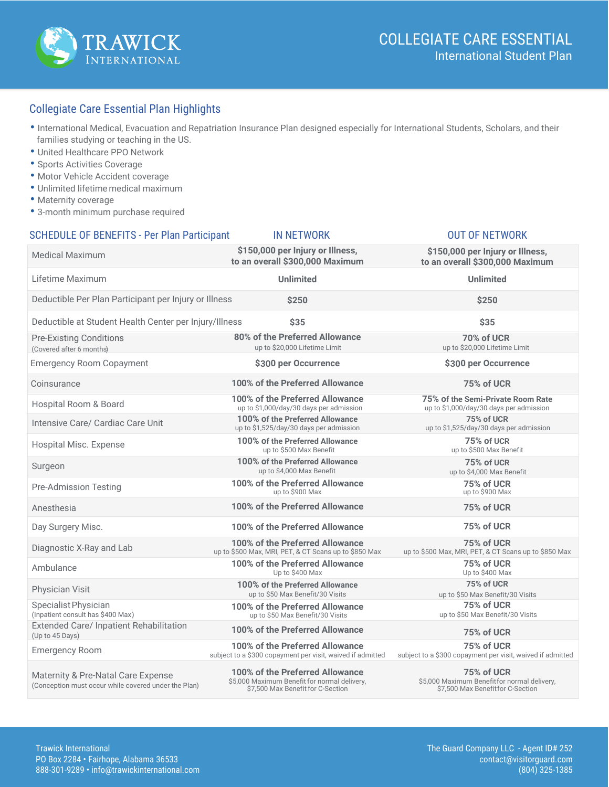

### Collegiate Care Essential Plan Highlights

- International Medical, Evacuation and Repatriation Insurance Plan designed especially for International Students, Scholars, and their families studying or teaching in the US.
- United Healthcare PPO Network
- Sports Activities Coverage
- Motor Vehicle Accident coverage
- Unlimited lifetime medical maximum
- Maternity coverage
- 3-month minimum purchase required

#### SCHEDULE OF BENEFITS - Per Plan Participant IN NETWORK OUT OF NETWORK

#### Medical Maximum **\$150,000 per Injury or Illness, to an overall \$300,000 Maximum**  Deductible Per Plan Participant per Injury or Illness **\$250 \$250** Emergency Room Copayment **\$300 per Occurrence \$300 per Occurrence** Coinsurance **100% of the Preferred Allowance 75% of UCR** Hospital Room & Board Surgeon Pre-Admission Testing Hospital Misc. Expense Intensive Care/ Cardiac Care Unit Anesthesia Physician Visit Ambulance Diagnostic X-Ray and Lab Day Surgery Misc. Emergency Room **75% of the Semi-Private Room Rate** Deductible at Student Health Center per Injury/Illness **\$35 \$35 100% of the Preferred Allowance** up to \$1,525/day/30 days per admission **75% of UCR 100% of the Preferred Allowance 75% of UCR 100% of the Preferred Allowance 75% of UCR 75% of UCR \$150,000 per Injury or Illness, to an overall \$300,000 Maximum**  Extended Care/ Inpatient Rehabilitation (Up to 45 Days) **75% of UCR** subject to a \$300 copayment per visit, waived if admitted **100% of the Preferred Allowance 75% of UCR** Lifetime Maximum **Unlimited Unlimited 100% of the Preferred Allowance** up to \$500 Max, MRI, PET, & CT Scans up to \$850 Max **100% of the Preferred Allowance** up to \$900 Max **100% of the Preferred Allowance** subject to a \$300 copayment per visit, waived if admitted **100% of the Preferred Allowance** Up to \$400 Max **75% of UCR** up to \$500 Max, MRI, PET, & CT Scans up to \$850 Max up to \$900 Max **75% of UCR** up to \$1,525/day/30 days per admission **100% of the Preferred Allowance** up to \$500 Max Benefit **75% of UCR** up to \$500 Max Benefit **100% of the Preferred Allowance** up to \$50 Max Benefit/30 Visits **75% of UCR** up to \$50 Max Benefit/30 Visits Specialist Physician (Inpatient consult has \$400 Max.) **100% of the Preferred Allowance** up to \$4,000 Max Benefit **100% of the Preferred Allowance** up to \$50 Max Benefit/30 Visits **75% of UCR** up to \$4,000 Max Benefit **75% of UCR** up to \$50 Max Benefit/30 Visits Pre-Existing Conditions (Covered after 6 months) **80% of the Preferred Allowance**<br>
up to \$20,000 Lifetime Limit **1000 UP 10000 UP 10000** UP **10000** UP **1000** UP **1000** UP **1000** UP up to \$20,000 Lifetime Limit **100% of the Preferred Allowance**<br>up to \$1,000/day/30 days per admission up to \$1,000/day/30 days per admission

Maternity & Pre-Natal Care Expense (Conception must occur while covered under the Plan)

**100% of the Preferred Allowance** \$5,000 Maximum Benefit for normal delivery, \$7,500 Max Benefit for C-Section

**75% of UCR** \$5,000 Maximum Benefitfor normal delivery, \$7,500 Max Benefitfor C-Section

Trawick International The Guard Company LLC - Agent ID# 252 PO Box 2284 · Fairhope, Alabama 36533 888-301-9289 • info@trawickinternational.com (804) 325-1385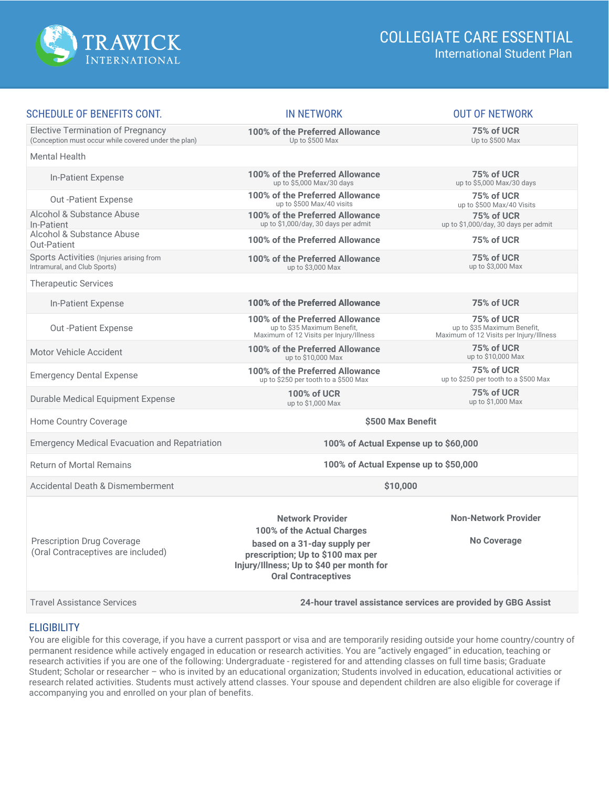

| <b>SCHEDULE OF BENEFITS CONT.</b>                                                                | <b>IN NETWORK</b>                                                                                                                           | <b>OUT OF NETWORK</b>                                                                |
|--------------------------------------------------------------------------------------------------|---------------------------------------------------------------------------------------------------------------------------------------------|--------------------------------------------------------------------------------------|
| <b>Elective Termination of Pregnancy</b><br>(Conception must occur while covered under the plan) | 100% of the Preferred Allowance<br>Up to \$500 Max                                                                                          | 75% of UCR<br>Up to \$500 Max                                                        |
| Mental Health                                                                                    |                                                                                                                                             |                                                                                      |
| In-Patient Expense                                                                               | 100% of the Preferred Allowance<br>up to \$5,000 Max/30 days                                                                                | 75% of UCR<br>up to \$5,000 Max/30 days                                              |
| Out - Patient Expense                                                                            | 100% of the Preferred Allowance<br>up to \$500 Max/40 visits                                                                                | 75% of UCR<br>up to \$500 Max/40 Visits                                              |
| Alcohol & Substance Abuse<br>In-Patient                                                          | 100% of the Preferred Allowance<br>up to \$1,000/day, 30 days per admit                                                                     | 75% of UCR<br>up to \$1,000/day, 30 days per admit                                   |
| Alcohol & Substance Abuse<br>Out-Patient                                                         | 100% of the Preferred Allowance                                                                                                             | 75% of UCR                                                                           |
| Sports Activities (Injuries arising from<br>Intramural, and Club Sports)                         | 100% of the Preferred Allowance<br>up to \$3,000 Max                                                                                        | 75% of UCR<br>up to \$3,000 Max                                                      |
| <b>Therapeutic Services</b>                                                                      |                                                                                                                                             |                                                                                      |
| In-Patient Expense                                                                               | 100% of the Preferred Allowance                                                                                                             | 75% of UCR                                                                           |
| <b>Out-Patient Expense</b>                                                                       | 100% of the Preferred Allowance<br>up to \$35 Maximum Benefit,<br>Maximum of 12 Visits per Injury/Illness                                   | 75% of UCR<br>up to \$35 Maximum Benefit,<br>Maximum of 12 Visits per Injury/Illness |
| Motor Vehicle Accident                                                                           | 100% of the Preferred Allowance<br>up to \$10,000 Max                                                                                       | 75% of UCR<br>up to \$10,000 Max                                                     |
| <b>Emergency Dental Expense</b>                                                                  | 100% of the Preferred Allowance<br>up to \$250 per tooth to a \$500 Max                                                                     | 75% of UCR<br>up to \$250 per tooth to a \$500 Max                                   |
| Durable Medical Equipment Expense                                                                | <b>100% of UCR</b><br>up to \$1,000 Max                                                                                                     | 75% of UCR<br>up to \$1,000 Max                                                      |
| Home Country Coverage                                                                            | \$500 Max Benefit                                                                                                                           |                                                                                      |
| <b>Emergency Medical Evacuation and Repatriation</b>                                             | 100% of Actual Expense up to \$60,000                                                                                                       |                                                                                      |
| <b>Return of Mortal Remains</b>                                                                  | 100% of Actual Expense up to \$50,000                                                                                                       |                                                                                      |
| <b>Accidental Death &amp; Dismemberment</b>                                                      | \$10,000                                                                                                                                    |                                                                                      |
|                                                                                                  | <b>Network Provider</b><br>100% of the Actual Charges                                                                                       | <b>Non-Network Provider</b>                                                          |
| <b>Prescription Drug Coverage</b><br>(Oral Contraceptives are included)                          | based on a 31-day supply per<br>prescription; Up to \$100 max per<br>Injury/Illness; Up to \$40 per month for<br><b>Oral Contraceptives</b> | <b>No Coverage</b>                                                                   |
| <b>Travel Assistance Services</b>                                                                | 24-hour travel assistance services are provided by GBG Assist                                                                               |                                                                                      |

#### **ELIGIBILITY**

You are eligible for this coverage, if you have a current passport or visa and are temporarily residing outside your home country/country of permanent residence while actively engaged in education or research activities. You are "actively engaged" in education, teaching or research activities if you are one of the following: Undergraduate - registered for and attending classes on full time basis; Graduate Student; Scholar or researcher – who is invited by an educational organization; Students involved in education, educational activities or research related activities. Students must actively attend classes. Your spouse and dependent children are also eligible for coverage if accompanying you and enrolled on your plan of benefits.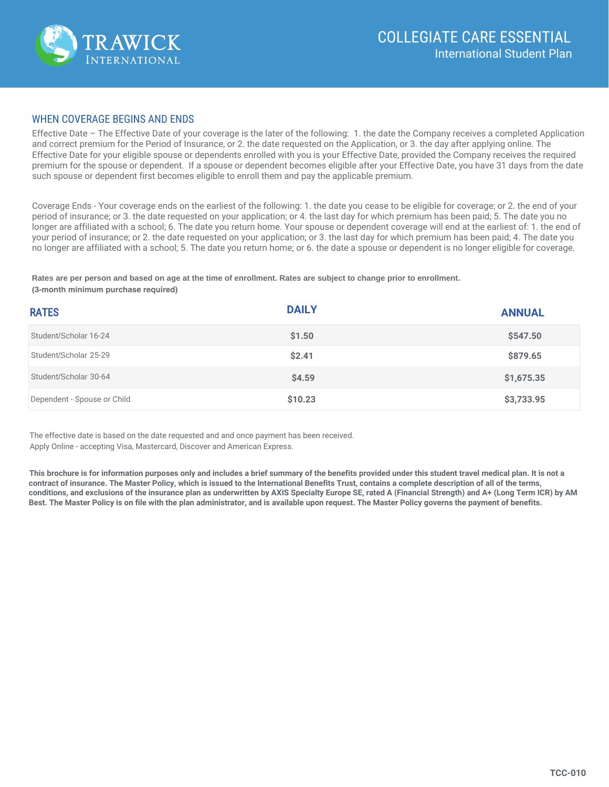

#### **WHEN COVERAGE BEGINS AND ENDS**

Effective Date – The Effective Date of your coverage is the later of the following: 1, the date the Company receives a completed Application and correct premium for the Period of Insurance, or 2, the date requested on the Application, or 3, the day after applying online. The Effective Date for your eligible spouse or dependents enrolled with you is your Effective Date, provided the Company receives the required premium for the spouse or dependent. If a spouse or dependent becomes eligible after your Effective Date, you have 31 days from the date such spouse or dependent first becomes eligible to enroll them and pay the applicable premium.

Coverage Ends - Your coverage ends on the earliest of the following: 1, the date you cease to be eligible for coverage; or 2, the end of your period of insurance; or 3, the date requested on your application; or 4, the last day for which premium has been paid; 5. The date you no longer are affiliated with a school; 6. The date you return home. Your spouse or dependent coverage will end at the earliest of: 1. the end of your period of insurance; or 2. the date requested on your application; or 3. the last day for which premium has been paid; 4. The date you no longer are affiliated with a school; 5. The date you return home; or 6. the date a spouse or dependent is no longer eligible for coverage.

Rates are per person and based on age at the time of enrollment. Rates are subject to change prior to enrollment. (3-month minimum purchase required)

| <b>RATES</b>                | <b>DAILY</b> | <b>ANNUAL</b> |
|-----------------------------|--------------|---------------|
| Student/Scholar 16-24       | \$1.50       | \$547.50      |
| Student/Scholar 25-29       | \$2.41       | \$879.65      |
| Student/Scholar 30-64       | \$4.59       | \$1,675.35    |
| Dependent - Spouse or Child | \$10.23      | \$3,733.95    |

The effective date is based on the date requested and and once payment has been received. Apply Online - accepting Visa, Mastercard, Discover and American Express.

This brochure is for information purposes only and includes a brief summary of the benefits provided under this student travel medical plan. It is not a contract of insurance. The Master Policy, which is issued to the International Benefits Trust, contains a complete description of all of the terms. conditions, and exclusions of the insurance plan as underwritten by AXIS Specialty Europe SE, rated A (Financial Strength) and A+ (Long Term ICR) by AM Best. The Master Policy is on file with the plan administrator, and is available upon request. The Master Policy governs the payment of benefits.